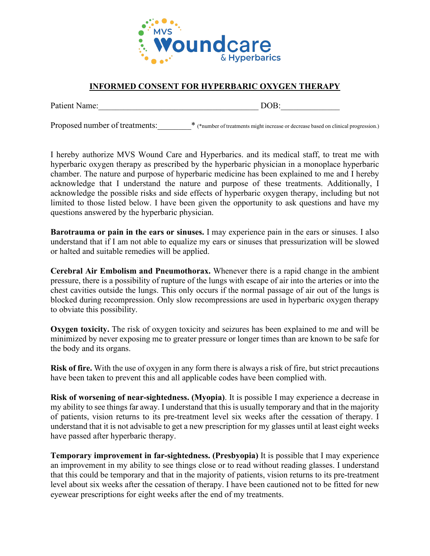

## **INFORMED CONSENT FOR HYPERBARIC OXYGEN THERAPY**

Patient Name:\_\_\_\_\_\_\_\_\_\_\_\_\_\_\_\_\_\_\_\_\_\_\_\_\_\_\_\_\_\_\_\_\_\_\_\_\_\_ DOB:\_\_\_\_\_\_\_\_\_\_\_\_\_\_

Proposed number of treatments:<br> $*$  (\*number of treatments might increase or decrease based on clinical progression.)

I hereby authorize MVS Wound Care and Hyperbarics. and its medical staff, to treat me with hyperbaric oxygen therapy as prescribed by the hyperbaric physician in a monoplace hyperbaric chamber. The nature and purpose of hyperbaric medicine has been explained to me and I hereby acknowledge that I understand the nature and purpose of these treatments. Additionally, I acknowledge the possible risks and side effects of hyperbaric oxygen therapy, including but not limited to those listed below. I have been given the opportunity to ask questions and have my questions answered by the hyperbaric physician.

**Barotrauma or pain in the ears or sinuses.** I may experience pain in the ears or sinuses. I also understand that if I am not able to equalize my ears or sinuses that pressurization will be slowed or halted and suitable remedies will be applied.

**Cerebral Air Embolism and Pneumothorax.** Whenever there is a rapid change in the ambient pressure, there is a possibility of rupture of the lungs with escape of air into the arteries or into the chest cavities outside the lungs. This only occurs if the normal passage of air out of the lungs is blocked during recompression. Only slow recompressions are used in hyperbaric oxygen therapy to obviate this possibility.

**Oxygen toxicity.** The risk of oxygen toxicity and seizures has been explained to me and will be minimized by never exposing me to greater pressure or longer times than are known to be safe for the body and its organs.

**Risk of fire.** With the use of oxygen in any form there is always a risk of fire, but strict precautions have been taken to prevent this and all applicable codes have been complied with.

**Risk of worsening of near-sightedness. (Myopia)**. It is possible I may experience a decrease in my ability to see things far away. I understand that this is usually temporary and that in the majority of patients, vision returns to its pre-treatment level six weeks after the cessation of therapy. I understand that it is not advisable to get a new prescription for my glasses until at least eight weeks have passed after hyperbaric therapy.

**Temporary improvement in far-sightedness. (Presbyopia)** It is possible that I may experience an improvement in my ability to see things close or to read without reading glasses. I understand that this could be temporary and that in the majority of patients, vision returns to its pre-treatment level about six weeks after the cessation of therapy. I have been cautioned not to be fitted for new eyewear prescriptions for eight weeks after the end of my treatments.